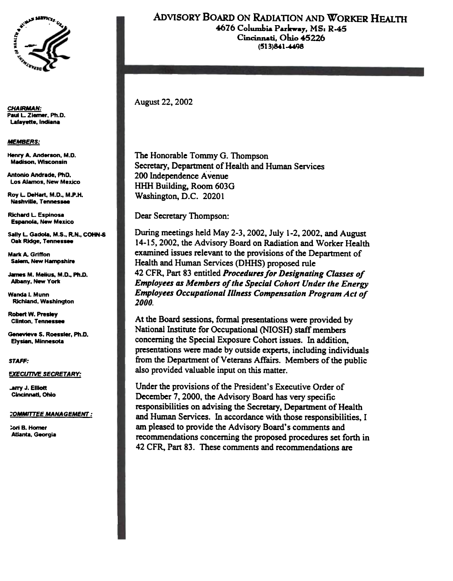

**CHAIRMAN:** Paul L. Ziemer, Ph.D. Lafayette, Indiana

**MEMBERS:** 

Henry A. Anderson, M.D. **Madison, Wisconsin** 

**Antonio Andrade, PhD.** Los Alamos, New Mexico

Roy L. DeHart, M.D., M.P.H. Nashville, Tennessee

**Richard L. Espinosa Espanola, New Mexico** 

Sally L. Gadola, M.S., R.N., COHN-S Oak Ridge, Tennessee

**Mark A. Griffon Salem, New Hampshire** 

James M. Melius, M.D., Ph.D. **Albany, New York** 

Wanda I. Munn **Richland, Washington** 

**Robert W. Presiev Clinton, Tennessee** 

Genevieve S. Roessler. Ph.D. Elvsian, Minnesota

### STAFF:

**EXECUTIVE SECRETARY:** 

**Larry J. Elliott** Cincinnati, Ohio

### **COMMITTEE MANAGEMENT:**

**Cori B. Homer** Atlanta, Georgia

## ADVISORY BOARD ON RADIATION AND WORKER HEALTH 4676 Columbia Parkway, MS: R-45

Cincinnati, Ohio 45226  $(513)841 - 4498$ 

**August 22, 2002** 

The Honorable Tommy G. Thompson Secretary, Department of Health and Human Services 200 Independence Avenue HHH Building, Room 603G Washington, D.C. 20201

Dear Secretary Thompson:

During meetings held May 2-3, 2002, July 1-2, 2002, and August 14-15, 2002, the Advisory Board on Radiation and Worker Health examined issues relevant to the provisions of the Department of Health and Human Services (DHHS) proposed rule 42 CFR, Part 83 entitled Procedures for Designating Classes of **Employees as Members of the Special Cohort Under the Energy Employees Occupational Illness Compensation Program Act of** 2000.

At the Board sessions, formal presentations were provided by National Institute for Occupational (NIOSH) staff members concerning the Special Exposure Cohort issues. In addition, presentations were made by outside experts, including individuals from the Department of Veterans Affairs. Members of the public also provided valuable input on this matter.

Under the provisions of the President's Executive Order of December 7, 2000, the Advisory Board has very specific responsibilities on advising the Secretary, Department of Health and Human Services. In accordance with those responsibilities, I am pleased to provide the Advisory Board's comments and recommendations concerning the proposed procedures set forth in 42 CFR, Part 83. These comments and recommendations are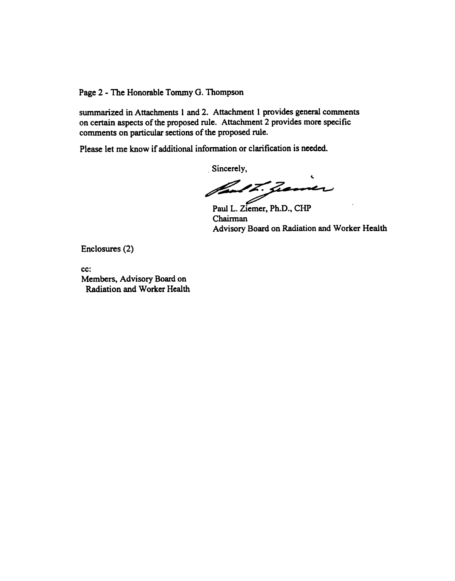Page 2 - The Honorable Tommy G. Thompson

summarized in Attachments 1 and 2. Attachment 1 provides general comments on certain aspects of the proposed rule. Attachment 2 provides more specific comments on particular sections of the proposed rule.

Please let me know if additional information or clarification is needed.

Sincerely, fault. gener

Paul L. Ziemer, Ph.D., CHP Chairman Advisory Board on Radiation and Worker Health

Enclosures (2)

cc: Members, Advisory Board on Radiation and Worker Health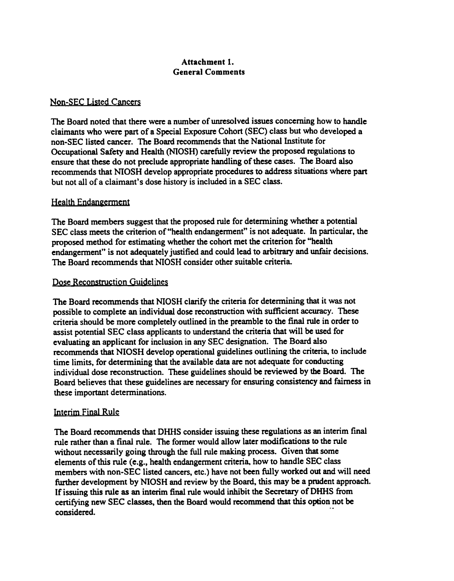# Attachment 1. General Comments

## Non-SEC Listed Cancers

The Board noted that there were a number of unresolved issues concerning how to handle claimants who were part of a Special Exposure Cohort (SEC) class but who developed a non-SEC listed cancer. The Board recommends that the National Institute for Occupational Safety and Health (NIOSH) carefully review the proposed regulations to ensure that these do not preclude appropriate handling of these cases. The Board also recommends that NIOSH develop appropriate procedures to address situations where part but not all of a claimant's dose history is included in a SEC class.

## Health Endangerment

The Board members suggest that the proposed rule for determining whether a potential SEC class meets the criterion of "health endangerment" is not adequate. In particular, the proposed method for estimating whether the cohort met the criterion for "health endangerment" is not adequately justified and could lead to arbitrary and unfair decisions. The Board recommends that NIOSH consider other suitable criteria.

## Dose Reconstruction Guidelines

The Board recommends that NIOSH clarify the criteria for determining that it was not possible to complete an individual dose reconstruction with sufficient accuracy. These criteria should be more completely outlined in the preamble to the final rule in order to assist potential SEC class applicants to understand the criteria that will be used for evaluating an applicant for inclusion in any SEC designation. The Board also recommends that NIOSH develop operational guidelines outlining the criteria. to include time limits, for determining that the available data are not adequate for conducting individual dose reconstruction. These guidelines should be reviewed by the Board. The Board believes that these guidelines are necessary for ensuring consistency and fairness in these important determinations.

# Interim Final Rule

The Board recommends that DHHS consider issuing these regulations as an interim final rule rather than a final rule. The former would allow later modifications to the rule without necessarily going through the full rule making process. Given that some elements of this rule (e.g., health endangerment criteria. how to handle SEC class members with non-SEC listed cancers, etc.) have not been fully worked out and will need funher development by NIOSH and review by the Board. this may be a prudent approach. If issuing this rule as an interim final rule would inhibit the Secretary of DHHS from certifying new SEC classes, then the Board would recommend that this option not be considered.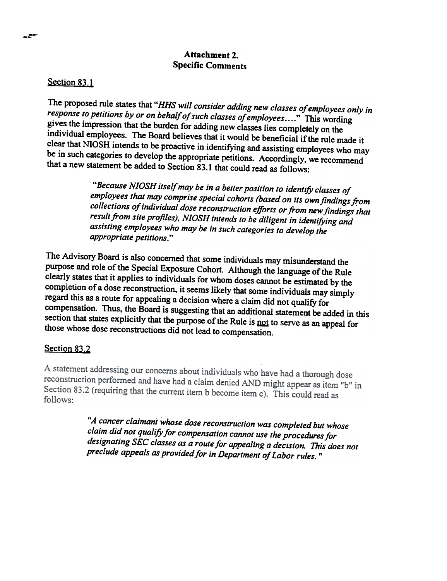# Attachment 2. Specific Comments

## Section 83.1

The proposed rule states that "HHS will consider adding new classes of employees only in response to petitions by or on behalf of such classes of employees...." This wording gives the impression that the burden for adding new classes lies completely on the individual employees. The Board believes that it would be beneficial if the rule made it clear that NIOSH intends to be proactive in identifying and assisting employees who may be in such categories to develop the appropriate petitions. Accordingly. we recommend that a new statement be added to Section 83.1 that could read as follows:

> "Because NIOSH itself may be in a better position to identify classes of employees that may comprise special cohorts (based on its own findings from collections of individual dose reconstruction efforts or from new findings that result from site profiles), NIOSH intends to be diligent in identifying and assisting employees who may be in such categories to develop the<br>annonniate patitions." appropriate petitions.

The Advisory Board is also concerned that some individuals may misunderstand the purpose and role of the Special Exposure Cohort. Although the language of the Rule clearly states that it applies to individuals for whom doses cannot be estimated by the completion of a dose reconstruction, it seems likely that some individuals may simply regard this as a route for appealing a decision where a claim did not qualify for compensation. Thus, the Board is suggesting that an additional statement be added in this section that states explicitly that the purpose of the Rule is not to serve as an appeal for those whose dose reconsttuctions did not lead to compensation.

## Section 83.2

A statement addressing our concerns about individuals who have had a thorough dose reconstruction performed and have had a claim denied AND might appear as item "b" in Section 83.2 (requiring that the current item b become item c). This could read as follows:

> "A cancer claimant whose dose reconstruction was completed but whose claim did not qualify for compensation cannot use the procedures for designating SEC classes as a route for appealing a decision. This does not preclude appeals as provided for in Department of Labor rules. "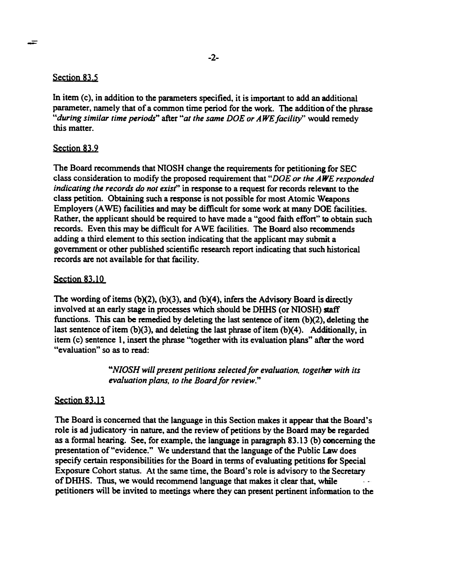## Section 83.5

-

In item  $(c)$ , in addition to the parameters specified, it is important to add an additional parameter, namely that of a common time period for the work. The addition of the phrase "during similar time periods" after "at the same DOE or AWE facility" would remedy this matter.

# Section 83.9

The Board recommends that NIOSH change the requirements for petitioning for SEC class consideration to modify the proposed requirement that "DOE or the AWE responded indicating the records do not exist" in response to a request for records relevant to the class petition. Obtaining such a response is not possible for most Atomic Weapons Employers (A WE) facilities and may be difficult for some work at many DOE facilities. Rather, the applicant should be required to have made a "good faith effort" to obtain such records. Even this may be difficult for A WE facilities. The Board also recommends adding a third element to this section indicating that the applicant may submit a government or other published scientific research report indicating that such historical records are not available for that facility.

# Section 83.10

The wording of items (b)(2), (b)(3), and (b)(4), infers the Advisory Board is directly involved at an early stage in processes which should be DHHS (or NIOSH) staff functions. This can be remedied by deleting the last sentence of item  $(b)(2)$ , deleting the last sentence of item (b)(3), and deleting the last phrase of item (b)(4). Additionally, in item (c) sentence I, insert the phrase "together with its evaluation plans" after the word "evaluation" so as to read:

> "NIOSH will present petitions selected for evaluation, together with its evaluation plans, to the Board for review."

# Section 83.13

The Board is concerned that the language in this Section makes it appear that the Board's role is ad judicatory -in nature, and the review of petitions by the Board may be regarded as a fonnal hearing. See, for example, the language in paragraph 83.13 (b) concerning the presentation of "evidence." We understand that the language of the Public Law does specify certain responsibilities for the Board in terms of evaluating petitions for Special Exposure Cohort status. At the same time, the Board's role is advisory to the Secretary of DHHS. Thus, we would recommend language that makes it clear that, while petitioners will be invited to meetings where they can present pertinent information to the